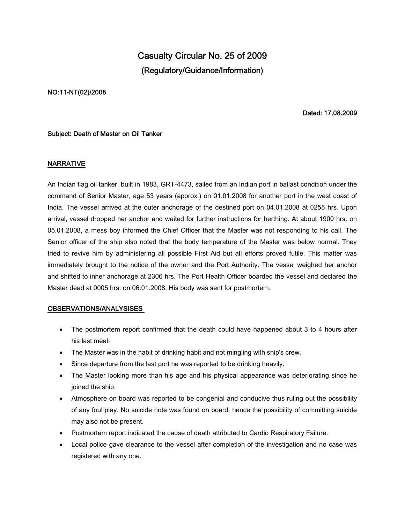# **Casualty Circular No. 25 of 2009 (Regulatory/Guidance/Information)**

#### **NO:11-NT(02)/2008**

**Dated: 17.08.2009**

### **Subject: Death of Master on Oil Tanker**

### **NARRATIVE**

An Indian flag oil tanker, built in 1983, GRT-4473, sailed from an Indian port in ballast condition under the command of Senior Master, age 53 years (approx.) on 01.01.2008 for another port in the west coast of India. The vessel arrived at the outer anchorage of the destined port on 04.01.2008 at 0255 hrs. Upon arrival, vessel dropped her anchor and waited for further instructions for berthing. At about 1900 hrs. on 05.01.2008, a mess boy informed the Chief Officer that the Master was not responding to his call. The Senior officer of the ship also noted that the body temperature of the Master was below normal. They tried to revive him by administering all possible First Aid but all efforts proved futile. This matter was immediately brought to the notice of the owner and the Port Authority. The vessel weighed her anchor and shifted to inner anchorage at 2306 hrs. The Port Health Officer boarded the vessel and declared the Master dead at 0005 hrs. on 06.01.2008. His body was sent for postmortem.

## **OBSERVATIONS/ANALYSISES**

- The postmortem report confirmed that the death could have happened about 3 to 4 hours after his last meal.
- The Master was in the habit of drinking habit and not mingling with ship's crew.
- Since departure from the last port he was reported to be drinking heavily.
- The Master looking more than his age and his physical appearance was deteriorating since he joined the ship.
- Atmosphere on board was reported to be congenial and conducive thus ruling out the possibility of any foul play. No suicide note was found on board, hence the possibility of committing suicide may also not be present.
- Postmortem report indicated the cause of death attributed to Cardio Respiratory Failure.
- Local police gave clearance to the vessel after completion of the investigation and no case was registered with any one.